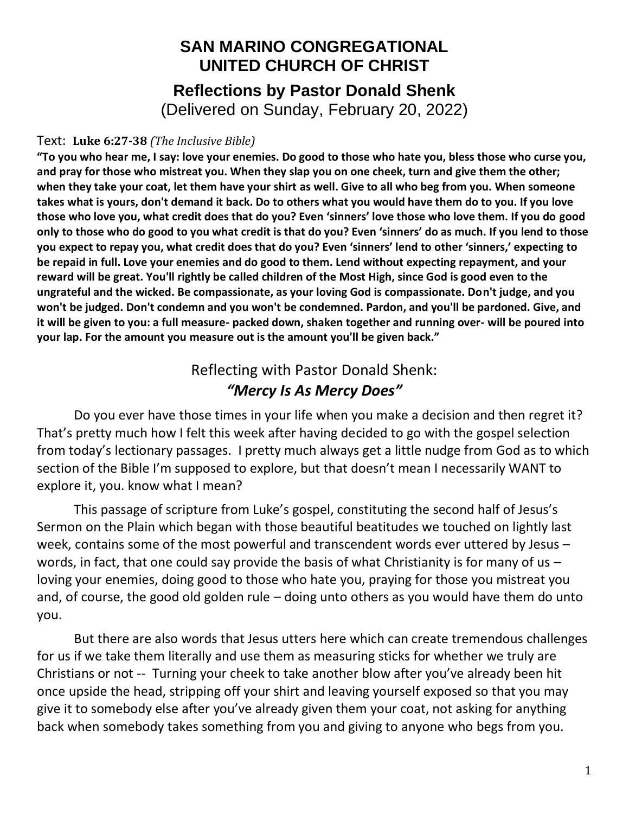## **SAN MARINO CONGREGATIONAL UNITED CHURCH OF CHRIST Reflections by Pastor Donald Shenk** (Delivered on Sunday, February 20, 2022)

## Text: **Luke 6:27-38** *(The Inclusive Bible)*

**"To you who hear me, I say: love your enemies. Do good to those who hate you, bless those who curse you, and pray for those who mistreat you. When they slap you on one cheek, turn and give them the other; when they take your coat, let them have your shirt as well. Give to all who beg from you. When someone takes what is yours, don't demand it back. Do to others what you would have them do to you. If you love those who love you, what credit does that do you? Even 'sinners' love those who love them. If you do good only to those who do good to you what credit is that do you? Even 'sinners' do as much. If you lend to those you expect to repay you, what credit does that do you? Even 'sinners' lend to other 'sinners,' expecting to be repaid in full. Love your enemies and do good to them. Lend without expecting repayment, and your reward will be great. You'll rightly be called children of the Most High, since God is good even to the ungrateful and the wicked. Be compassionate, as your loving God is compassionate. Don't judge, and you won't be judged. Don't condemn and you won't be condemned. Pardon, and you'll be pardoned. Give, and it will be given to you: a full measure- packed down, shaken together and running over- will be poured into your lap. For the amount you measure out is the amount you'll be given back."**

## Reflecting with Pastor Donald Shenk: *"Mercy Is As Mercy Does"*

Do you ever have those times in your life when you make a decision and then regret it? That's pretty much how I felt this week after having decided to go with the gospel selection from today's lectionary passages. I pretty much always get a little nudge from God as to which section of the Bible I'm supposed to explore, but that doesn't mean I necessarily WANT to explore it, you. know what I mean?

This passage of scripture from Luke's gospel, constituting the second half of Jesus's Sermon on the Plain which began with those beautiful beatitudes we touched on lightly last week, contains some of the most powerful and transcendent words ever uttered by Jesus – words, in fact, that one could say provide the basis of what Christianity is for many of us loving your enemies, doing good to those who hate you, praying for those you mistreat you and, of course, the good old golden rule – doing unto others as you would have them do unto you.

But there are also words that Jesus utters here which can create tremendous challenges for us if we take them literally and use them as measuring sticks for whether we truly are Christians or not -- Turning your cheek to take another blow after you've already been hit once upside the head, stripping off your shirt and leaving yourself exposed so that you may give it to somebody else after you've already given them your coat, not asking for anything back when somebody takes something from you and giving to anyone who begs from you.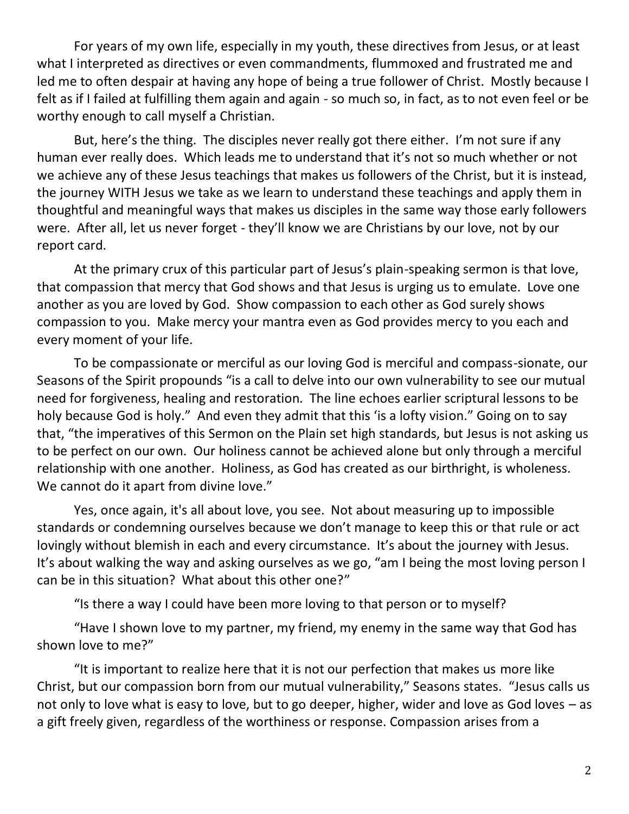For years of my own life, especially in my youth, these directives from Jesus, or at least what I interpreted as directives or even commandments, flummoxed and frustrated me and led me to often despair at having any hope of being a true follower of Christ. Mostly because I felt as if I failed at fulfilling them again and again - so much so, in fact, as to not even feel or be worthy enough to call myself a Christian.

But, here's the thing. The disciples never really got there either. I'm not sure if any human ever really does. Which leads me to understand that it's not so much whether or not we achieve any of these Jesus teachings that makes us followers of the Christ, but it is instead, the journey WITH Jesus we take as we learn to understand these teachings and apply them in thoughtful and meaningful ways that makes us disciples in the same way those early followers were. After all, let us never forget - they'll know we are Christians by our love, not by our report card.

At the primary crux of this particular part of Jesus's plain-speaking sermon is that love, that compassion that mercy that God shows and that Jesus is urging us to emulate. Love one another as you are loved by God. Show compassion to each other as God surely shows compassion to you. Make mercy your mantra even as God provides mercy to you each and every moment of your life.

To be compassionate or merciful as our loving God is merciful and compass-sionate, our Seasons of the Spirit propounds "is a call to delve into our own vulnerability to see our mutual need for forgiveness, healing and restoration. The line echoes earlier scriptural lessons to be holy because God is holy." And even they admit that this 'is a lofty vision." Going on to say that, "the imperatives of this Sermon on the Plain set high standards, but Jesus is not asking us to be perfect on our own. Our holiness cannot be achieved alone but only through a merciful relationship with one another. Holiness, as God has created as our birthright, is wholeness. We cannot do it apart from divine love."

Yes, once again, it's all about love, you see. Not about measuring up to impossible standards or condemning ourselves because we don't manage to keep this or that rule or act lovingly without blemish in each and every circumstance. It's about the journey with Jesus. It's about walking the way and asking ourselves as we go, "am I being the most loving person I can be in this situation? What about this other one?"

"Is there a way I could have been more loving to that person or to myself?

"Have I shown love to my partner, my friend, my enemy in the same way that God has shown love to me?"

"It is important to realize here that it is not our perfection that makes us more like Christ, but our compassion born from our mutual vulnerability," Seasons states. "Jesus calls us not only to love what is easy to love, but to go deeper, higher, wider and love as God loves – as a gift freely given, regardless of the worthiness or response. Compassion arises from a